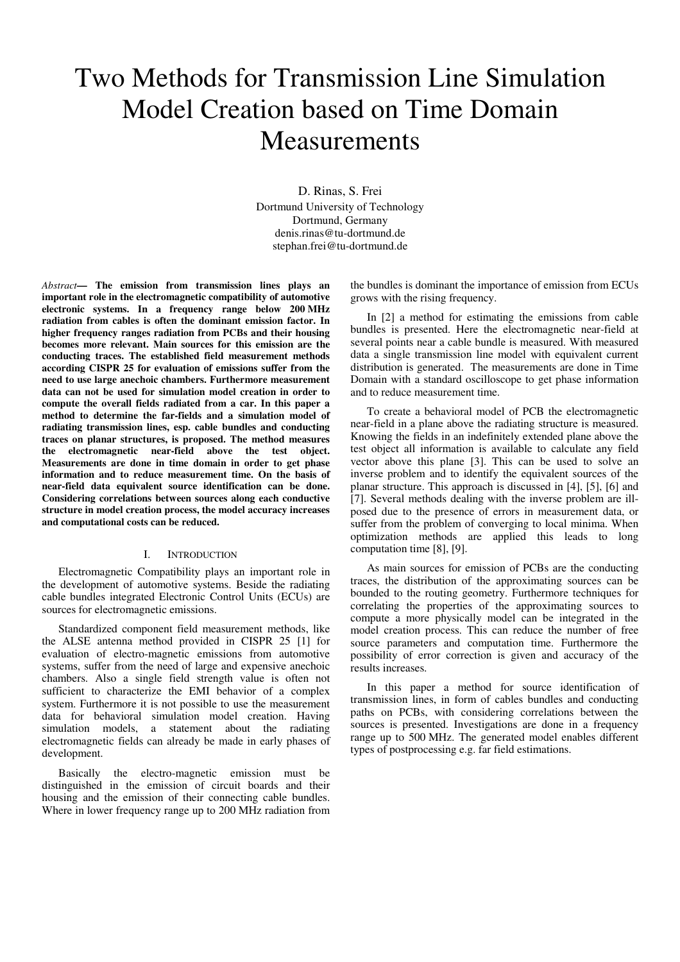# Two Methods for Transmission Line Simulation Model Creation based on Time Domain Measurements

D. Rinas, S. Frei Dortmund University of Technology Dortmund, Germany denis.rinas@tu-dortmund.de stephan.frei@tu-dortmund.de

*Abstract***— The emission from transmission lines plays an important role in the electromagnetic compatibility of automotive electronic systems. In a frequency range below 200 MHz radiation from cables is often the dominant emission factor. In higher frequency ranges radiation from PCBs and their housing becomes more relevant. Main sources for this emission are the conducting traces. The established field measurement methods according CISPR 25 for evaluation of emissions suffer from the need to use large anechoic chambers. Furthermore measurement data can not be used for simulation model creation in order to compute the overall fields radiated from a car. In this paper a method to determine the far-fields and a simulation model of radiating transmission lines, esp. cable bundles and conducting traces on planar structures, is proposed. The method measures the electromagnetic near-field above the test object. Measurements are done in time domain in order to get phase information and to reduce measurement time. On the basis of near-field data equivalent source identification can be done. Considering correlations between sources along each conductive structure in model creation process, the model accuracy increases and computational costs can be reduced.** 

# I. INTRODUCTION

Electromagnetic Compatibility plays an important role in the development of automotive systems. Beside the radiating cable bundles integrated Electronic Control Units (ECUs) are sources for electromagnetic emissions.

Standardized component field measurement methods, like the ALSE antenna method provided in CISPR 25 [1] for evaluation of electro-magnetic emissions from automotive systems, suffer from the need of large and expensive anechoic chambers. Also a single field strength value is often not sufficient to characterize the EMI behavior of a complex system. Furthermore it is not possible to use the measurement data for behavioral simulation model creation. Having simulation models, a statement about the radiating electromagnetic fields can already be made in early phases of development.

Basically the electro-magnetic emission must be distinguished in the emission of circuit boards and their housing and the emission of their connecting cable bundles. Where in lower frequency range up to 200 MHz radiation from

the bundles is dominant the importance of emission from ECUs grows with the rising frequency.

In [2] a method for estimating the emissions from cable bundles is presented. Here the electromagnetic near-field at several points near a cable bundle is measured. With measured data a single transmission line model with equivalent current distribution is generated. The measurements are done in Time Domain with a standard oscilloscope to get phase information and to reduce measurement time.

To create a behavioral model of PCB the electromagnetic near-field in a plane above the radiating structure is measured. Knowing the fields in an indefinitely extended plane above the test object all information is available to calculate any field vector above this plane [3]. This can be used to solve an inverse problem and to identify the equivalent sources of the planar structure. This approach is discussed in [4], [5], [6] and [7]. Several methods dealing with the inverse problem are illposed due to the presence of errors in measurement data, or suffer from the problem of converging to local minima. When optimization methods are applied this leads to long computation time [8], [9].

As main sources for emission of PCBs are the conducting traces, the distribution of the approximating sources can be bounded to the routing geometry. Furthermore techniques for correlating the properties of the approximating sources to compute a more physically model can be integrated in the model creation process. This can reduce the number of free source parameters and computation time. Furthermore the possibility of error correction is given and accuracy of the results increases.

In this paper a method for source identification of transmission lines, in form of cables bundles and conducting paths on PCBs, with considering correlations between the sources is presented. Investigations are done in a frequency range up to 500 MHz. The generated model enables different types of postprocessing e.g. far field estimations.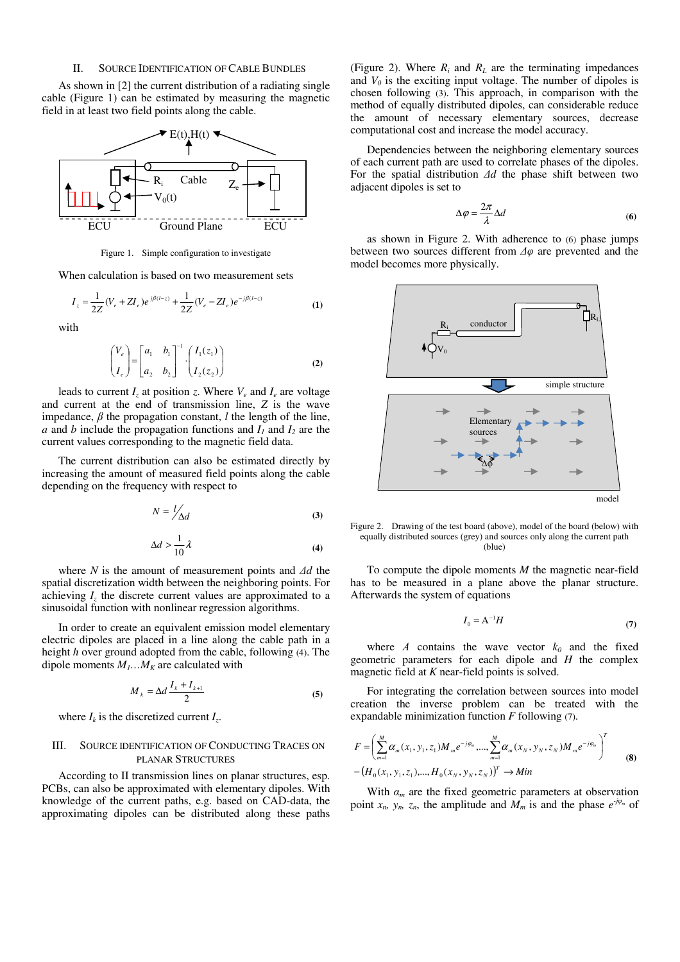# II. SOURCE IDENTIFICATION OF CABLE BUNDLES

As shown in [2] the current distribution of a radiating single cable (Figure 1) can be estimated by measuring the magnetic field in at least two field points along the cable.



Figure 1. Simple configuration to investigate

When calculation is based on two measurement sets

$$
I_z = \frac{1}{2Z} (V_e + Z I_e) e^{j\beta (l-z)} + \frac{1}{2Z} (V_e - Z I_e) e^{-j\beta (l-z)}
$$
(1)

with

$$
\begin{pmatrix} V_e \\ I_e \end{pmatrix} = \begin{bmatrix} a_1 & b_1 \\ a_2 & b_2 \end{bmatrix}^{-1} \cdot \begin{pmatrix} I_1(z_1) \\ I_2(z_2) \end{pmatrix}
$$
 (2)

leads to current  $I_z$  at position *z*. Where  $V_e$  and  $I_e$  are voltage and current at the end of transmission line, *Z* is the wave impedance,  $\beta$  the propagation constant, *l* the length of the line, *a* and *b* include the propagation functions and  $I_1$  and  $I_2$  are the current values corresponding to the magnetic field data.

The current distribution can also be estimated directly by increasing the amount of measured field points along the cable depending on the frequency with respect to

$$
N = \frac{l}{\Delta d} \tag{3}
$$

$$
\Delta d > \frac{1}{10} \lambda \tag{4}
$$

where *N* is the amount of measurement points and *∆d* the spatial discretization width between the neighboring points. For achieving  $I_z$  the discrete current values are approximated to a sinusoidal function with nonlinear regression algorithms.

In order to create an equivalent emission model elementary electric dipoles are placed in a line along the cable path in a height *h* over ground adopted from the cable, following (4). The dipole moments  $M_1...M_K$  are calculated with

$$
M_k = \Delta d \frac{I_k + I_{k+1}}{2} \tag{5}
$$

where  $I_k$  is the discretized current  $I_z$ .

# III. SOURCE IDENTIFICATION OF CONDUCTING TRACES ON PLANAR STRUCTURES

According to II transmission lines on planar structures, esp. PCBs, can also be approximated with elementary dipoles. With knowledge of the current paths, e.g. based on CAD-data, the approximating dipoles can be distributed along these paths

(Figure 2). Where  $R_i$  and  $R_L$  are the terminating impedances and  $V_0$  is the exciting input voltage. The number of dipoles is chosen following (3). This approach, in comparison with the method of equally distributed dipoles, can considerable reduce the amount of necessary elementary sources, decrease computational cost and increase the model accuracy.

Dependencies between the neighboring elementary sources of each current path are used to correlate phases of the dipoles. For the spatial distribution *∆d* the phase shift between two adjacent dipoles is set to

$$
\Delta \varphi = \frac{2\pi}{\lambda} \Delta d \tag{6}
$$

as shown in Figure 2. With adherence to (6) phase jumps between two sources different from *∆φ* are prevented and the model becomes more physically.



Figure 2. Drawing of the test board (above), model of the board (below) with equally distributed sources (grey) and sources only along the current path (blue)

To compute the dipole moments *M* the magnetic near-field has to be measured in a plane above the planar structure. Afterwards the system of equations

$$
I_0 = A^{-1}H \tag{7}
$$

where *Α* contains the wave vector *k0* and the fixed geometric parameters for each dipole and *H* the complex magnetic field at *K* near-field points is solved.

For integrating the correlation between sources into model creation the inverse problem can be treated with the expandable minimization function *F* following (7).

$$
F = \left(\sum_{m=1}^{M} \alpha_m(x_1, y_1, z_1) M_m e^{-j\varphi_m}, \dots, \sum_{m=1}^{M} \alpha_m(x_N, y_N, z_N) M_m e^{-j\varphi_m}\right)^T
$$
  
 
$$
- (H_0(x_1, y_1, z_1), \dots, H_0(x_N, y_N, z_N))^T \to Min
$$
 (8)

With  $\alpha_m$  are the fixed geometric parameters at observation point  $x_n$ ,  $y_n$ ,  $z_n$ , the amplitude and  $M_m$  is and the phase  $e^{j\varphi_m}$  of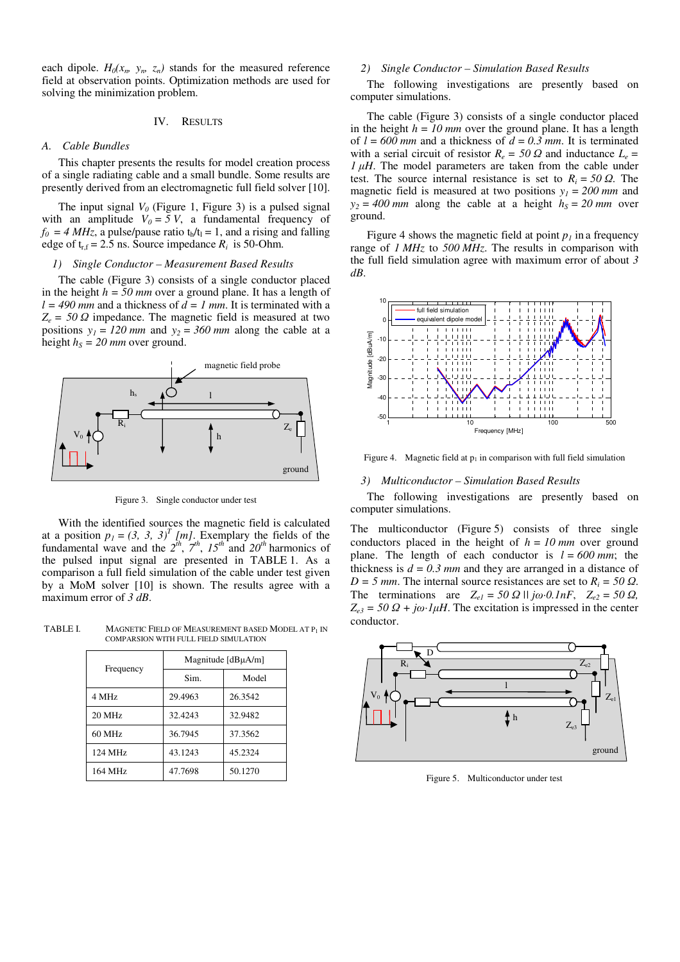each dipole.  $H_0(x_n, y_n, z_n)$  stands for the measured reference field at observation points. Optimization methods are used for solving the minimization problem.

### IV. RESULTS

#### *A. Cable Bundles*

This chapter presents the results for model creation process of a single radiating cable and a small bundle. Some results are presently derived from an electromagnetic full field solver [10].

The input signal  $V_0$  (Figure 1, Figure 3) is a pulsed signal with an amplitude  $V_0 = 5 V$ , a fundamental frequency of  $f_0 = 4 MHz$ , a pulse/pause ratio  $t_h/t_l = 1$ , and a rising and falling edge of  $t_{r,f} = 2.5$  ns. Source impedance  $R_i$  is 50-Ohm.

# *1) Single Conductor – Measurement Based Results*

The cable (Figure 3) consists of a single conductor placed in the height  $h = 50$  mm over a ground plane. It has a length of  $l = 490$  mm and a thickness of  $d = 1$  mm. It is terminated with a  $Z_e = 50 \Omega$  impedance. The magnetic field is measured at two positions  $y_1 = 120$  mm and  $y_2 = 360$  mm along the cable at a height  $h<sub>S</sub> = 20$  mm over ground.



Figure 3. Single conductor under test

With the identified sources the magnetic field is calculated at a position  $p_1 = (3, 3, 3)^T$  [m]. Exemplary the fields of the fundamental wave and the  $2^{th}$ ,  $7^{th}$ ,  $15^{th}$  and  $20^{th}$  harmonics of the pulsed input signal are presented in TABLE 1. As a comparison a full field simulation of the cable under test given by a MoM solver [10] is shown. The results agree with a maximum error of *3 dB*.

TABLE I. MAGNETIC FIELD OF MEASUREMENT BASED MODEL AT P1 IN COMPARSION WITH FULL FIELD SIMULATION

| Frequency | Magnitude [dBµA/m] |         |
|-----------|--------------------|---------|
|           | Sim.               | Model   |
| 4 MHz     | 29.4963            | 26.3542 |
| 20 MHz    | 32.4243            | 32.9482 |
| 60 MHz    | 36.7945            | 37.3562 |
| 124 MHz   | 43.1243            | 45.2324 |
| 164 MHz   | 47.7698            | 50.1270 |

## *2) Single Conductor – Simulation Based Results*

The following investigations are presently based on computer simulations.

The cable (Figure 3) consists of a single conductor placed in the height  $h = 10$  mm over the ground plane. It has a length of  $l = 600$  mm and a thickness of  $d = 0.3$  mm. It is terminated with a serial circuit of resistor  $R_e = 50 \Omega$  and inductance  $L_e =$  $1 \mu$ *H*. The model parameters are taken from the cable under test. The source internal resistance is set to  $R_i = 50 \Omega$ . The magnetic field is measured at two positions  $y_1 = 200$  mm and  $y_2 = 400$  *mm* along the cable at a height  $h<sub>S</sub> = 20$  *mm* over ground.

Figure 4 shows the magnetic field at point  $p<sub>l</sub>$  in a frequency range of *1 MHz* to *500 MHz*. The results in comparison with the full field simulation agree with maximum error of about *3 dB*.



Figure 4. Magnetic field at  $p_1$  in comparison with full field simulation

#### *3) Multiconductor – Simulation Based Results*

The following investigations are presently based on computer simulations.

The multiconductor (Figure 5) consists of three single conductors placed in the height of  $h = 10$  mm over ground plane. The length of each conductor is  $l = 600$  mm; the thickness is  $d = 0.3$  mm and they are arranged in a distance of  $D = 5$  *mm*. The internal source resistances are set to  $R_i = 50 \Omega$ . The terminations are  $Z_{el} = 50 \Omega \text{ N}$  *j* $\omega \cdot 0.1nF$ ,  $Z_{el} = 50 \Omega$ ,  $Z_{e3} = 50 \Omega + j\omega \cdot l\mu H$ . The excitation is impressed in the center conductor.



Figure 5. Multiconductor under test